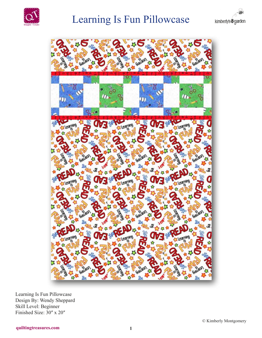

# Learning Is Fun Pillowcase





Learning Is Fun Pillowcase Design By: Wendy Sheppard Skill Level: Beginner Finished Size: 30" x 20"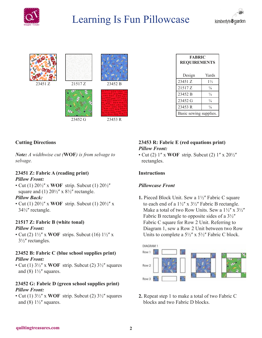

# Learning Is Fun Pillowcase







| <b>FABRIC</b><br><b>REQUIREMENTS</b> |                |
|--------------------------------------|----------------|
| Design                               | Yards          |
| 23451 Z                              | $1\frac{1}{3}$ |
| 21517 Z                              | $\frac{1}{8}$  |
| 23452 B                              | $\frac{1}{4}$  |
| 23452 G                              | $\frac{1}{4}$  |
| 23453 R                              | $\frac{1}{8}$  |
| Basic sewing supplies.               |                |

# **Cutting Directions**

*Note: A widthwise cut (***WOF***) is from selvage to selvage.*

## **23451 Z: Fabric A (reading print)** *Pillow Front:*

• Cut (1)  $20\frac{1}{2}$  x **WOF** strip. Subcut (1)  $20\frac{1}{2}$ " square and (1)  $20\frac{1}{2}$  x  $8\frac{1}{2}$  rectangle.

## *Pillow Back:*

• Cut (1) 20<sup>1</sup>/<sub>2</sub>" x **WOF** strip. Subcut (1) 20<sup>1</sup>/<sub>2</sub>" x 34½ʺ rectangle.

#### **21517 Z: Fabric B (white tonal)** *Pillow Front:*

• Cut (2)  $1\frac{1}{2}$  x **WOF** strips. Subcut (16)  $1\frac{1}{2}$  x  $3\frac{1}{2}$ " rectangles.

#### **23452 B: Fabric C (blue school supplies print)** *Pillow Front:*

• Cut (1)  $3\frac{1}{2}$ " x WOF strip. Subcut (2)  $3\frac{1}{2}$ " squares and (8)  $1\frac{1}{2}$  squares.

# **23452 G: Fabric D (green school supplies print)** *Pillow Front:*

• Cut (1)  $3\frac{1}{2}$ " x WOF strip. Subcut (2)  $3\frac{1}{2}$ " squares and (8)  $1\frac{1}{2}$  squares.

# **23453 R: Fabric E (red equations print)** *Pillow Front:*

• Cut (2) 1'' x **WOF** strip. Subcut (2) 1'' x 20<sup>1</sup>/<sub>2</sub>'' rectangles.

# **Instructions**

## *Pillowcase Front*

**1.** Pieced Block Unit. Sew a 1½" Fabric C square to each end of a  $1\frac{1}{2}$ " x  $3\frac{1}{2}$ " Fabric B rectangle. Make a total of two Row Units. Sew a  $1\frac{1}{2}$  x  $3\frac{1}{2}$ " Fabric B rectangle to opposite sides of a  $3\frac{1}{2}$ " Fabric C square for Row 2 Unit. Referring to Diagram 1, sew a Row 2 Unit between two Row Units to complete a  $5\frac{1}{2}$ " x  $5\frac{1}{2}$ " Fabric C block.



**2.** Repeat step 1 to make a total of two Fabric C blocks and two Fabric D blocks.